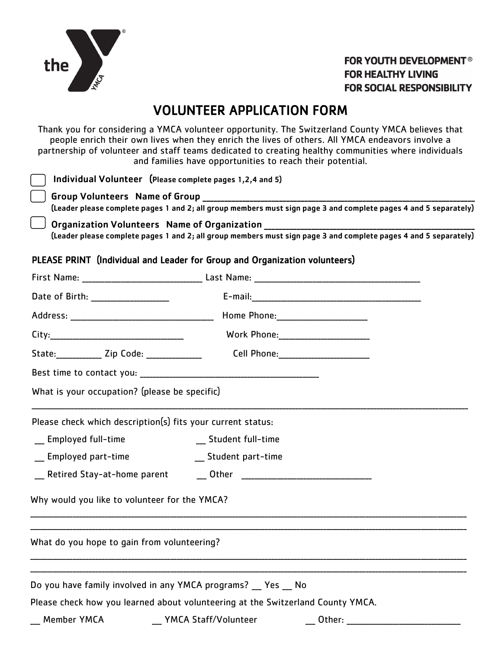

# VOLUNTEER APPLICATION FORM

Thank you for considering a YMCA volunteer opportunity. The Switzerland County YMCA believes that people enrich their own lives when they enrich the lives of others. All YMCA endeavors involve a partnership of volunteer and staff teams dedicated to creating healthy communities where individuals and families have opportunities to reasing newsity community

|                                                             | and rainmes nave opportunities to reach their potential.                                                         |  |
|-------------------------------------------------------------|------------------------------------------------------------------------------------------------------------------|--|
| Individual Volunteer (Please complete pages 1,2,4 and 5)    |                                                                                                                  |  |
|                                                             | (Leader please complete pages 1 and 2; all group members must sign page 3 and complete pages 4 and 5 separately) |  |
|                                                             | Organization Volunteers Name of Organization ___________________________________                                 |  |
|                                                             | (Leader please complete pages 1 and 2; all group members must sign page 3 and complete pages 4 and 5 separately) |  |
|                                                             | PLEASE PRINT (Individual and Leader for Group and Organization volunteers)                                       |  |
|                                                             |                                                                                                                  |  |
|                                                             |                                                                                                                  |  |
|                                                             |                                                                                                                  |  |
|                                                             | Work Phone:_________________________                                                                             |  |
|                                                             |                                                                                                                  |  |
|                                                             |                                                                                                                  |  |
| What is your occupation? (please be specific)               |                                                                                                                  |  |
| Please check which description(s) fits your current status: |                                                                                                                  |  |
| __ Employed full-time                                       | __ Student full-time                                                                                             |  |
| __ Employed part-time                                       | __ Student part-time                                                                                             |  |
|                                                             | __ Retired Stay-at-home parent ________Other ___________________________________                                 |  |
| Why would you like to volunteer for the YMCA?               |                                                                                                                  |  |
| What do you hope to gain from volunteering?                 |                                                                                                                  |  |
| Do you have family involved in any YMCA programs? Yes No    |                                                                                                                  |  |

Please check how you learned about volunteering at the Switzerland County YMCA.

\_\_ Member YMCA \_\_\_\_\_\_\_\_\_\_\_\_ YMCA Staff/Volunteer \_\_\_\_\_\_\_\_\_\_\_ Other: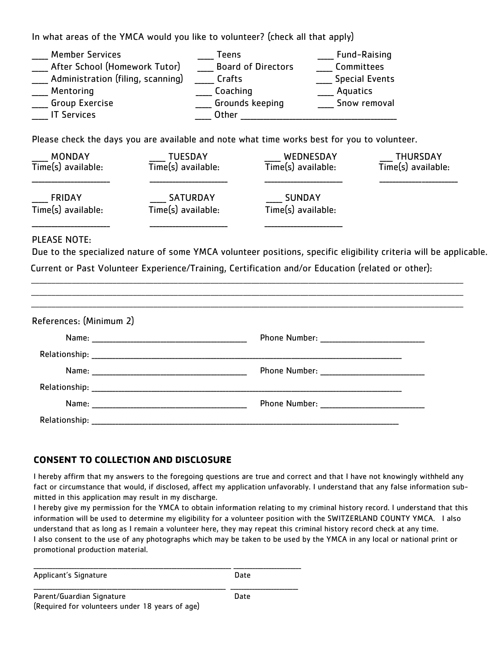In what areas of the YMCA would you like to volunteer? (check all that apply)

| <b>Member Services</b>            | Teens                     | Fund-Raising          |
|-----------------------------------|---------------------------|-----------------------|
| After School (Homework Tutor)     | <b>Board of Directors</b> | Committees            |
| Administration (filing, scanning) | Crafts                    | <b>Special Events</b> |
| Mentoring                         | Coaching                  | Aquatics              |
| Group Exercise                    | Grounds keeping           | Snow removal          |
| <b>IT Services</b>                | <b>Other</b>              |                       |

Please check the days you are available and note what time works best for you to volunteer.

| <b>MONDAY</b>                          | <b>TUESDAY</b>     | WEDNESDAY            | <b>THURSDAY</b>      |
|----------------------------------------|--------------------|----------------------|----------------------|
| $\overline{\text{Time}}(s)$ available: | Time(s) available: | $Time(s)$ available: | $Time(s)$ available: |
| <b>FRIDAY</b>                          | <b>SATURDAY</b>    | <b>SUNDAY</b>        |                      |
| Time(s) available:                     | Time(s) available: | Time(s) available:   |                      |

#### PLEASE NOTE:

Due to the specialized nature of some YMCA volunteer positions, specific eligibility criteria will be applicable. Current or Past Volunteer Experience/Training, Certification and/or Education (related or other):

\_\_\_\_\_\_\_\_\_\_\_\_\_\_\_\_\_\_\_\_\_\_\_\_\_\_\_\_\_\_\_\_\_\_\_\_\_\_\_\_\_\_\_\_\_\_\_\_\_\_\_\_\_\_\_\_\_\_\_\_\_\_\_\_\_\_\_\_\_\_\_\_\_\_\_\_\_\_\_\_\_\_\_\_\_\_\_\_\_\_\_\_\_\_\_\_\_\_\_\_\_\_\_\_\_\_

| References: (Minimum 2) |  |
|-------------------------|--|
|                         |  |
|                         |  |
|                         |  |
|                         |  |
|                         |  |
|                         |  |
|                         |  |
|                         |  |

#### **CONSENT TO COLLECTION AND DISCLOSURE**

\_\_\_\_\_\_\_\_\_\_\_\_\_\_\_\_\_\_\_\_\_\_\_\_\_\_\_\_\_\_\_\_\_\_\_\_\_\_\_\_\_\_\_\_\_\_\_\_\_\_\_\_\_\_\_\_\_\_\_\_\_\_\_\_\_\_\_\_\_\_\_\_\_ \_\_\_\_\_\_\_\_\_\_\_\_\_\_\_\_\_\_\_\_\_\_\_\_\_

I hereby affirm that my answers to the foregoing questions are true and correct and that I have not knowingly withheld any fact or circumstance that would, if disclosed, affect my application unfavorably. I understand that any false information submitted in this application may result in my discharge.

I hereby give my permission for the YMCA to obtain information relating to my criminal history record. I understand that this information will be used to determine my eligibility for a volunteer position with the SWITZERLAND COUNTY YMCA. I also understand that as long as I remain a volunteer here, they may repeat this criminal history record check at any time. I also consent to the use of any photographs which may be taken to be used by the YMCA in any local or national print or promotional production material.

Applicant's Signature data and the Date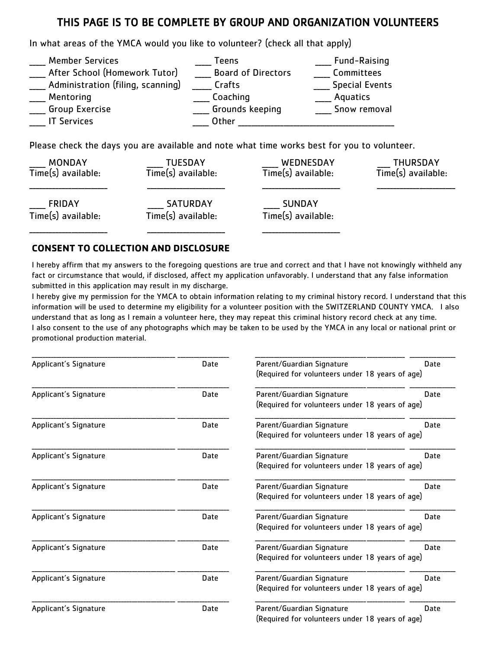## THIS PAGE IS TO BE COMPLETE BY GROUP AND ORGANIZATION VOLUNTEERS

In what areas of the YMCA would you like to volunteer? (check all that apply)



Please check the days you are available and note what time works best for you to volunteer.

| <b>MONDAY</b>        | <b>TUESDAY</b>     | WEDNESDAY          | <b>THURSDAY</b>    |
|----------------------|--------------------|--------------------|--------------------|
| $Time(s)$ available: | Time(s) available: | Time(s) available: | Time(s) available: |
| <b>FRIDAY</b>        | <b>SATURDAY</b>    | <b>SUNDAY</b>      |                    |
| Time(s) available:   | Time(s) available: | Time(s) available: |                    |

#### **CONSENT TO COLLECTION AND DISCLOSURE**

I hereby affirm that my answers to the foregoing questions are true and correct and that I have not knowingly withheld any fact or circumstance that would, if disclosed, affect my application unfavorably. I understand that any false information submitted in this application may result in my discharge.

I hereby give my permission for the YMCA to obtain information relating to my criminal history record. I understand that this information will be used to determine my eligibility for a volunteer position with the SWITZERLAND COUNTY YMCA. I also understand that as long as I remain a volunteer here, they may repeat this criminal history record check at any time. I also consent to the use of any photographs which may be taken to be used by the YMCA in any local or national print or promotional production material.

| Applicant's Signature | Date | Parent/Guardian Signature<br>Date               |
|-----------------------|------|-------------------------------------------------|
|                       |      | (Required for volunteers under 18 years of age) |
| Applicant's Signature | Date | Parent/Guardian Signature<br>Date               |
|                       |      | (Required for volunteers under 18 years of age) |
| Applicant's Signature | Date | Parent/Guardian Signature<br>Date               |
|                       |      | (Required for volunteers under 18 years of age) |
| Applicant's Signature | Date | Parent/Guardian Signature<br>Date               |
|                       |      | (Required for volunteers under 18 years of age) |
| Applicant's Signature | Date | Parent/Guardian Signature<br>Date               |
|                       |      | (Required for volunteers under 18 years of age) |
| Applicant's Signature | Date | Parent/Guardian Signature<br>Date               |
|                       |      | (Required for volunteers under 18 years of age) |
| Applicant's Signature | Date | Parent/Guardian Signature<br>Date               |
|                       |      | (Required for volunteers under 18 years of age) |
| Applicant's Signature | Date | Parent/Guardian Signature<br>Date               |
|                       |      | (Required for volunteers under 18 years of age) |
| Applicant's Signature | Date | Parent/Guardian Signature<br>Date               |
|                       |      | (Required for volunteers under 18 years of age) |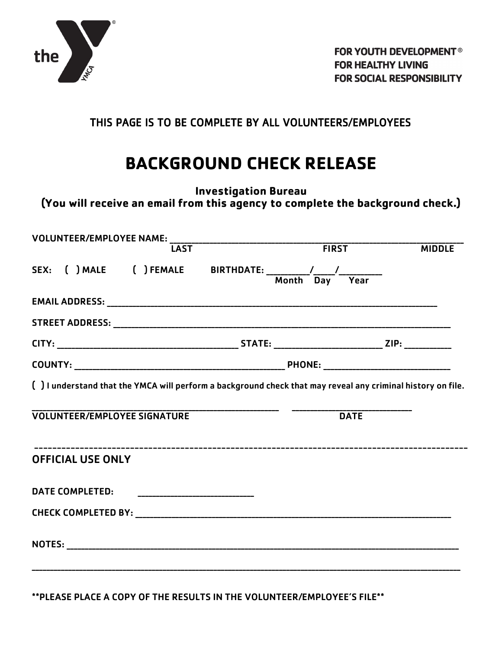

THIS PAGE IS TO BE COMPLETE BY ALL VOLUNTEERS/EMPLOYEES

# **BACKGROUND CHECK RELEASE**

**Investigation Bureau** 

**(You will receive an email from this agency to complete the background check.)**

| VOLUNTEER/EMPLOYEE NAME:<br>FIRST FIRST                                                                      |  |               |
|--------------------------------------------------------------------------------------------------------------|--|---------------|
|                                                                                                              |  | <b>MIDDLE</b> |
|                                                                                                              |  |               |
|                                                                                                              |  |               |
|                                                                                                              |  |               |
|                                                                                                              |  |               |
|                                                                                                              |  |               |
| ( ) I understand that the YMCA will perform a background check that may reveal any criminal history on file. |  |               |
| VOLUNTEER/EMPLOYEE SIGNATURE THE CONTROLLER BATE                                                             |  |               |
| <b>OFFICIAL USE ONLY</b>                                                                                     |  |               |
| <b>DATE COMPLETED:</b>                                                                                       |  |               |
|                                                                                                              |  |               |
|                                                                                                              |  |               |
|                                                                                                              |  |               |

\*\*PLEASE PLACE A COPY OF THE RESULTS IN THE VOLUNTEER/EMPLOYEE'S FILE\*\*